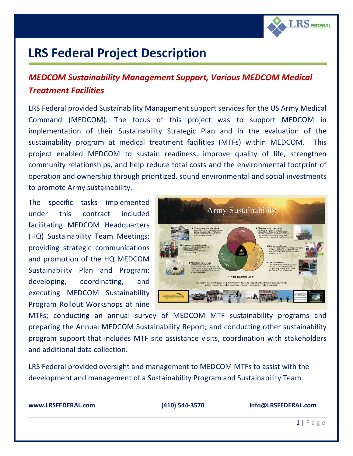

## **LRS Federal Project Description**

## *MEDCOM Sustainability Management Support, Various MEDCOM Medical Treatment Facilities*

LRS Federal provided Sustainability Management support services for the US Army Medical Command (MEDCOM). The focus of this project was to support MEDCOM in implementation of their Sustainability Strategic Plan and in the evaluation of the sustainability program at medical treatment facilities (MTFs) within MEDCOM. This project enabled MEDCOM to sustain readiness, improve quality of life, strengthen community relationships, and help reduce total costs and the environmental footprint of operation and ownership through prioritized, sound environmental and social investments to promote Army sustainability.

The specific tasks implemented under this contract included facilitating MEDCOM Headquarters (HQ) Sustainability Team Meetings; providing strategic communications and promotion of the HQ MEDCOM Sustainability Plan and Program; developing, coordinating, and executing MEDCOM Sustainability Program Rollout Workshops at nine



MTFs; conducting an annual survey of MEDCOM MTF sustainability programs and preparing the Annual MEDCOM Sustainability Report; and conducting other sustainability program support that includes MTF site assistance visits, coordination with stakeholders and additional data collection.

LRS Federal provided oversight and management to MEDCOM MTFs to assist with the development and management of a Sustainability Program and Sustainability Team.

**[www.LRSFEDERAL.com](http://www.lrsfederal.com/) (410) 544-3570 info@LRSFEDERAL.com**